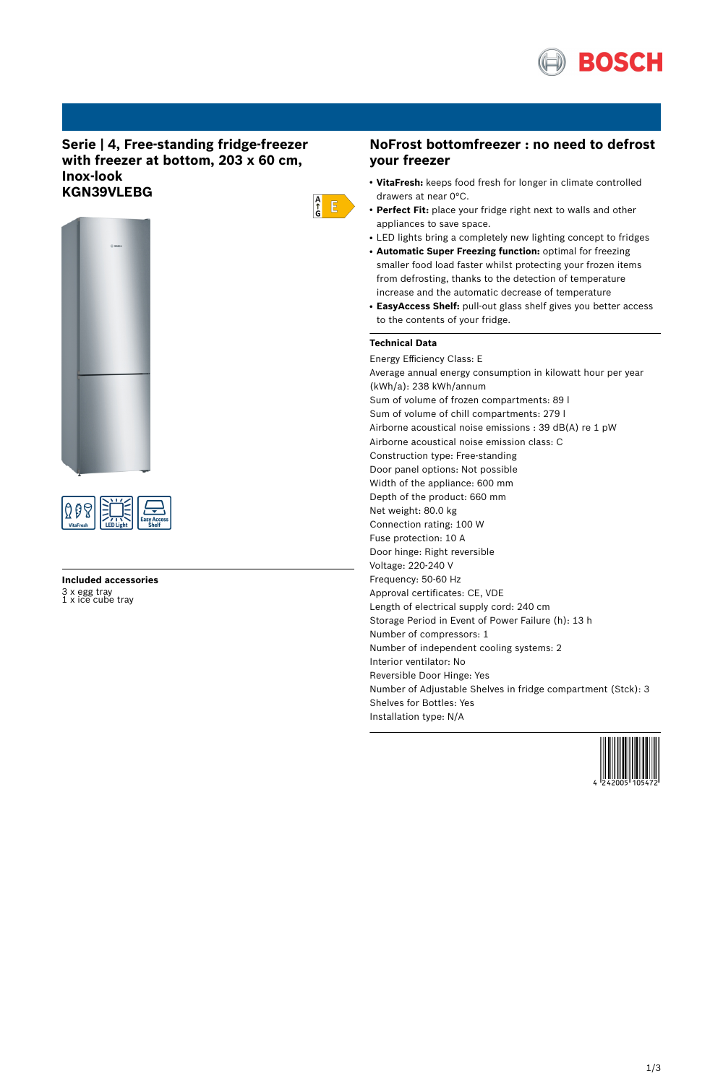

### **Serie | 4, Free-standing fridge-freezer with freezer at bottom, 203 x 60 cm, Inox-look KGN39VLEBG**





# **Included accessories** 3 x egg tray 1 x ice cube tray

### **NoFrost bottomfreezer : no need to defrost your freezer**

- **VitaFresh:** keeps food fresh for longer in climate controlled drawers at near 0°C.
- Perfect Fit: place your fridge right next to walls and other appliances to save space.
- LED lights bring a completely new lighting concept to fridges
- **Automatic Super Freezing function:** optimal for freezing smaller food load faster whilst protecting your frozen items from defrosting, thanks to the detection of temperature increase and the automatic decrease of temperature
- **EasyAccess Shelf:** pull-out glass shelf gives you better access to the contents of your fridge.

### **Technical Data**

 $\frac{A}{G}$   $E$ 

Energy Efficiency Class: E Average annual energy consumption in kilowatt hour per year (kWh/a): 238 kWh/annum Sum of volume of frozen compartments: 89 l Sum of volume of chill compartments: 279 l Airborne acoustical noise emissions : 39 dB(A) re 1 pW Airborne acoustical noise emission class: C Construction type: Free-standing Door panel options: Not possible Width of the appliance: 600 mm Depth of the product: 660 mm Net weight: 80.0 kg Connection rating: 100 W Fuse protection: 10 A Door hinge: Right reversible Voltage: 220-240 V Frequency: 50-60 Hz Approval certificates: CE, VDE Length of electrical supply cord: 240 cm Storage Period in Event of Power Failure (h): 13 h Number of compressors: 1 Number of independent cooling systems: 2 Interior ventilator: No Reversible Door Hinge: Yes Number of Adjustable Shelves in fridge compartment (Stck): 3 Shelves for Bottles: Yes Installation type: N/A

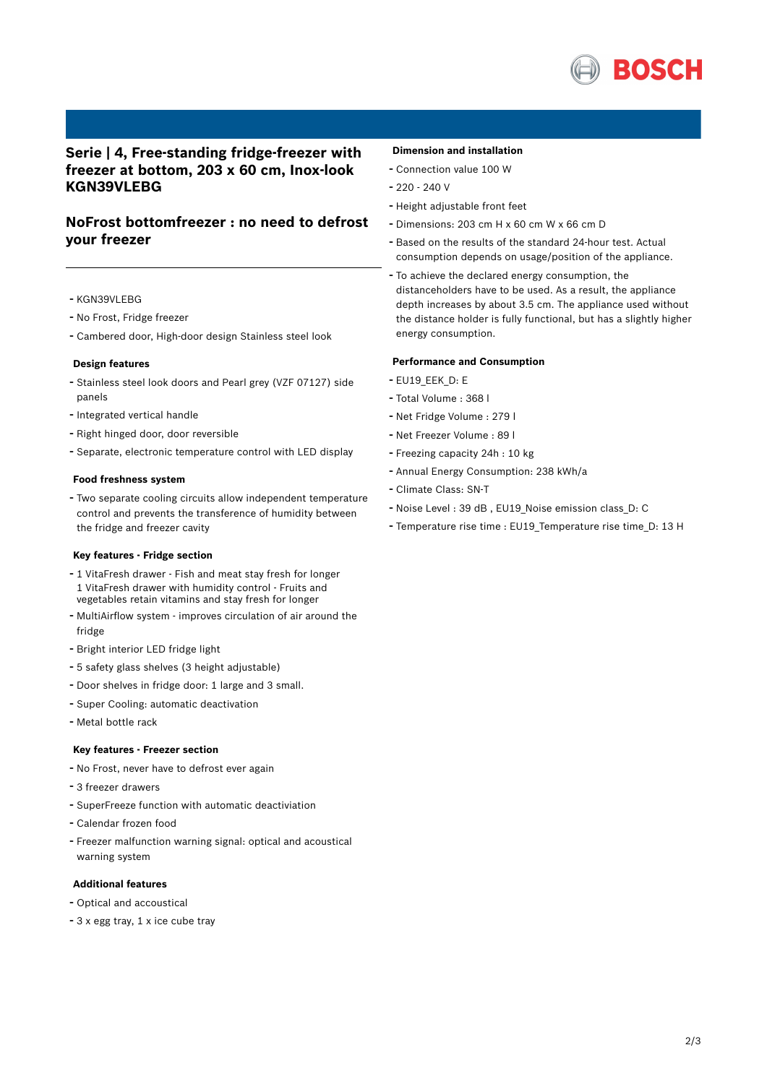

## **Serie | 4, Free-standing fridge-freezer with freezer at bottom, 203 x 60 cm, Inox-look KGN39VLEBG**

## **NoFrost bottomfreezer : no need to defrost your freezer**

- KGN39VLEBG
- No Frost, Fridge freezer
- Cambered door, High-door design Stainless steel look

#### **Design features**

- Stainless steel look doors and Pearl grey (VZF 07127) side panels
- Integrated vertical handle
- Right hinged door, door reversible
- Separate, electronic temperature control with LED display

#### **Food freshness system**

- Two separate cooling circuits allow independent temperature control and prevents the transference of humidity between the fridge and freezer cavity

#### **Key features - Fridge section**

- <sup>1</sup> VitaFresh drawer Fish and meat stay fresh for longer 1 VitaFresh drawer with humidity control - Fruits and vegetables retain vitamins and stay fresh for longer
- MultiAirflow system improves circulation of air around the fridge
- Bright interior LED fridge light
- <sup>5</sup> safety glass shelves (3 height adjustable)
- Door shelves in fridge door: <sup>1</sup> large and <sup>3</sup> small.
- Super Cooling: automatic deactivation
- Metal bottle rack

#### **Key features - Freezer section**

- No Frost, never have to defrost ever again
- <sup>3</sup> freezer drawers
- SuperFreeze function with automatic deactiviation
- Calendar frozen food
- Freezer malfunction warning signal: optical and acoustical warning system

#### **Additional features**

- Optical and accoustical
- <sup>3</sup> <sup>x</sup> egg tray, <sup>1</sup> <sup>x</sup> ice cube tray

#### **Dimension and installation**

- Connection value <sup>100</sup> <sup>W</sup>
- $-220 240$  V
- Height adjustable front feet
- Dimensions: 203 cm H x 60 cm W x 66 cm D
- Based on the results of the standard 24-hour test. Actual consumption depends on usage/position of the appliance.
- To achieve the declared energy consumption, the distanceholders have to be used. As a result, the appliance depth increases by about 3.5 cm. The appliance used without the distance holder is fully functional, but has a slightly higher energy consumption.

#### **Performance and Consumption**

- EU19\_EEK\_D: E
- Total Volume : <sup>368</sup> <sup>l</sup>
- Net Fridge Volume : <sup>279</sup> <sup>l</sup>
- Net Freezer Volume : <sup>89</sup> <sup>l</sup>
- Freezing capacity 24h : <sup>10</sup> kg
- Annual Energy Consumption: <sup>238</sup> kWh/a
- Climate Class: SN-T
- Noise Level : <sup>39</sup> dB , EU19\_Noise emission class\_D: <sup>C</sup>
- Temperature rise time : EU19\_Temperature rise time\_D: <sup>13</sup> <sup>H</sup>